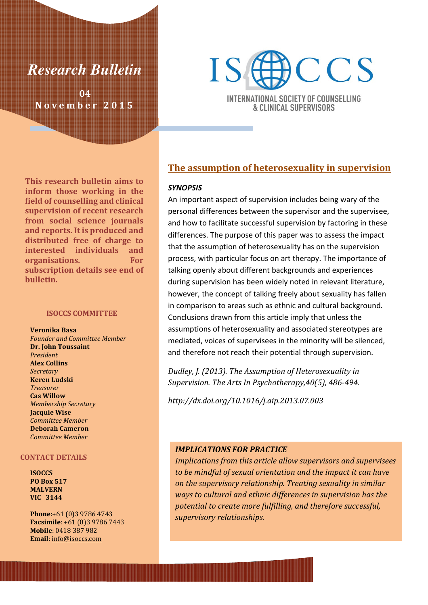

04 November 2015



**INTERNATIONAL SOCIETY OF COUNSELLING** & CLINICAL SUPERVISORS

### The assumption of heterosexuality in supervision

#### **SYNOPSIS**

An important aspect of supervision includes being wary of the personal differences between the supervisor and the supervisee, and how to facilitate successful supervision by factoring in these differences. The purpose of this paper was to assess the impact that the assumption of heterosexuality has on the supervision process, with particular focus on art therapy. The importance of talking openly about different backgrounds and experiences during supervision has been widely noted in relevant literature, however, the concept of talking freely about sexuality has fallen in comparison to areas such as ethnic and cultural background. Conclusions drawn from this article imply that unless the assumptions of heterosexuality and associated stereotypes are mediated, voices of supervisees in the minority will be silenced, and therefore not reach their potential through supervision.

Dudley, J. (2013). The Assumption of Heterosexuality in Supervision. The Arts In Psychotherapy,40(5), 486-494.

http://dx.doi.org/10.1016/j.aip.2013.07.003

### IMPLICATIONS FOR PRACTICE

Implications from this article allow supervisors and supervisees to be mindful of sexual orientation and the impact it can have on the supervisory relationship. Treating sexuality in similar ways to cultural and ethnic differences in supervision has the potential to create more fulfilling, and therefore successful, supervisory relationships.

This research bulletin aims to inform those working in the field of counselling and clinical supervision of recent research from social science journals and reports. It is produced and distributed free of charge to interested individuals and organisations. For subscription details see end of bulletin.

#### ISOCCS COMMITTEE

Veronika Basa Founder and Committee Member Dr. John Toussaint President Alex Collins **Secretary** Keren Ludski Treasurer Cas Willow Membership Secretary Jacquie Wise Committee Member Deborah Cameron Committee Member

#### CONTACT DETAILS

ISOCCS PO Box 517 MALVERN VIC 3144

Phone:+61 (0)3 9786 4743 Facsimile: +61 (0)3 9786 7443 Mobile: 0418 387 982 Email: info@isoccs.com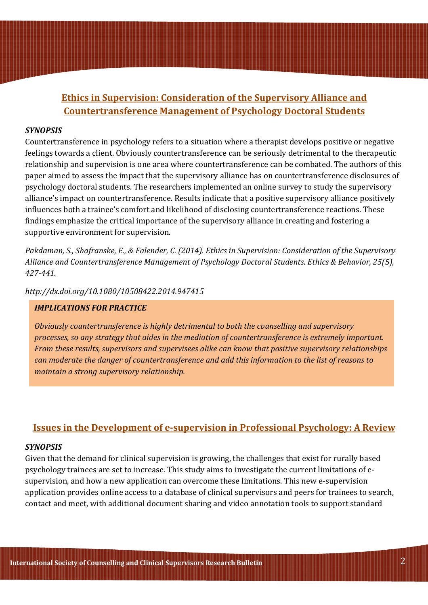# Ethics in Supervision: Consideration of the Supervisory Alliance and Countertransference Management of Psychology Doctoral Students

### SYNOPSIS

Countertransference in psychology refers to a situation where a therapist develops positive or negative feelings towards a client. Obviously countertransference can be seriously detrimental to the therapeutic relationship and supervision is one area where countertransference can be combated. The authors of this paper aimed to assess the impact that the supervisory alliance has on countertransference disclosures of psychology doctoral students. The researchers implemented an online survey to study the supervisory alliance's impact on countertransference. Results indicate that a positive supervisory alliance positively influences both a trainee's comfort and likelihood of disclosing countertransference reactions. These findings emphasize the critical importance of the supervisory alliance in creating and fostering a supportive environment for supervision.

Pakdaman, S., Shafranske, E., & Falender, C. (2014). Ethics in Supervision: Consideration of the Supervisory Alliance and Countertransference Management of Psychology Doctoral Students. Ethics & Behavior, 25(5), 427-441.

http://dx.doi.org/10.1080/10508422.2014.947415

### IMPLICATIONS FOR PRACTICE

Obviously countertransference is highly detrimental to both the counselling and supervisory processes, so any strategy that aides in the mediation of countertransference is extremely important. From these results, supervisors and supervisees alike can know that positive supervisory relationships can moderate the danger of countertransference and add this information to the list of reasons to maintain a strong supervisory relationship.

## Issues in the Development of e-supervision in Professional Psychology: A Review

### SYNOPSIS

Given that the demand for clinical supervision is growing, the challenges that exist for rurally based psychology trainees are set to increase. This study aims to investigate the current limitations of esupervision, and how a new application can overcome these limitations. This new e-supervision application provides online access to a database of clinical supervisors and peers for trainees to search, contact and meet, with additional document sharing and video annotation tools to support standard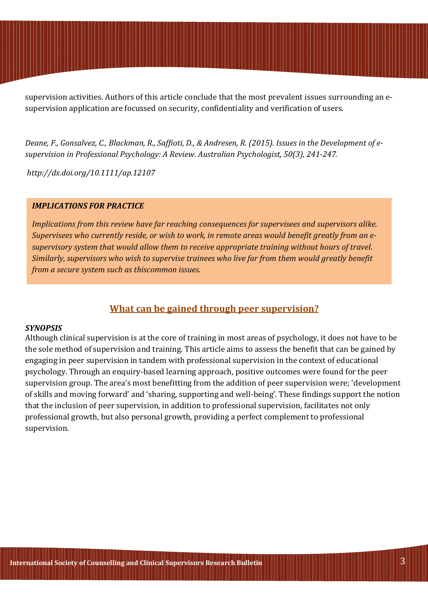supervision activities. Authors of this article conclude that the most prevalent issues surrounding an esupervision application are focussed on security, confidentiality and verification of users.

Deane, F., Gonsalvez, C., Blackman, R., Saffioti, D., & Andresen, R. (2015). Issues in the Development of esupervision in Professional Psychology: A Review. Australian Psychologist, 50(3), 241-247.

http://dx.doi.org/10.1111/ap.12107

### IMPLICATIONS FOR PRACTICE

Implications from this review have far reaching consequences for supervisees and supervisors alike. Supervisees who currently reside, or wish to work, in remote areas would benefit greatly from an esupervisory system that would allow them to receive appropriate training without hours of travel. Similarly, supervisors who wish to supervise trainees who live far from them would greatly benefit from a secure system such as thiscommon issues.

## What can be gained through peer supervision?

#### **SYNOPSIS**

Although clinical supervision is at the core of training in most areas of psychology, it does not have to be the sole method of supervision and training. This article aims to assess the benefit that can be gained by engaging in peer supervision in tandem with professional supervision in the context of educational psychology. Through an enquiry-based learning approach, positive outcomes were found for the peer supervision group. The area's most benefitting from the addition of peer supervision were; 'development of skills and moving forward' and 'sharing, supporting and well-being'. These findings support the notion that the inclusion of peer supervision, in addition to professional supervision, facilitates not only professional growth, but also personal growth, providing a perfect complement to professional supervision.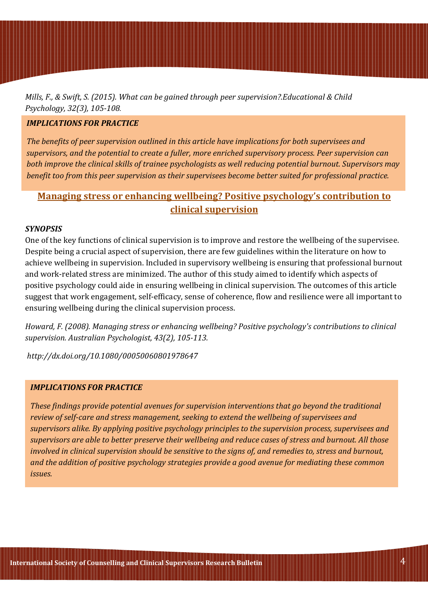Mills, F., & Swift, S. (2015). What can be gained through peer supervision?.Educational & Child Psychology, 32(3), 105-108.

### IMPLICATIONS FOR PRACTICE

The benefits of peer supervision outlined in this article have implications for both supervisees and supervisors, and the potential to create a fuller, more enriched supervisory process. Peer supervision can both improve the clinical skills of trainee psychologists as well reducing potential burnout. Supervisors may benefit too from this peer supervision as their supervisees become better suited for professional practice.

# Managing stress or enhancing wellbeing? Positive psychology's contribution to clinical supervision

### SYNOPSIS

One of the key functions of clinical supervision is to improve and restore the wellbeing of the supervisee. Despite being a crucial aspect of supervision, there are few guidelines within the literature on how to achieve wellbeing in supervision. Included in supervisory wellbeing is ensuring that professional burnout and work-related stress are minimized. The author of this study aimed to identify which aspects of positive psychology could aide in ensuring wellbeing in clinical supervision. The outcomes of this article suggest that work engagement, self-efficacy, sense of coherence, flow and resilience were all important to ensuring wellbeing during the clinical supervision process.

Howard, F. (2008). Managing stress or enhancing wellbeing? Positive psychology's contributions to clinical supervision. Australian Psychologist, 43(2), 105-113.

http://dx.doi.org/10.1080/00050060801978647

#### IMPLICATIONS FOR PRACTICE

These findings provide potential avenues for supervision interventions that go beyond the traditional review of self-care and stress management, seeking to extend the wellbeing of supervisees and supervisors alike. By applying positive psychology principles to the supervision process, supervisees and supervisors are able to better preserve their wellbeing and reduce cases of stress and burnout. All those involved in clinical supervision should be sensitive to the signs of, and remedies to, stress and burnout, and the addition of positive psychology strategies provide a good avenue for mediating these common issues.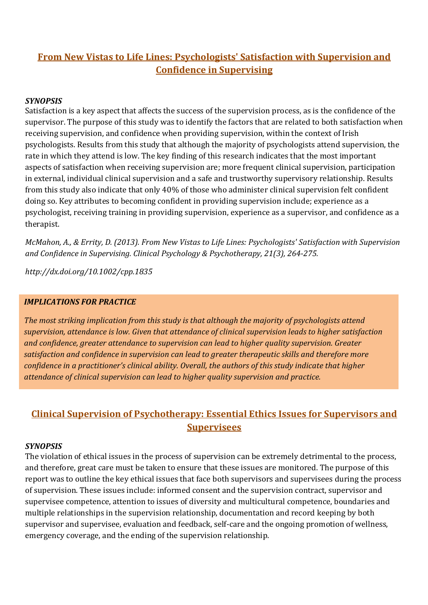# From New Vistas to Life Lines: Psychologists' Satisfaction with Supervision and Confidence in Supervising

## **SYNOPSIS**

Satisfaction is a key aspect that affects the success of the supervision process, as is the confidence of the supervisor. The purpose of this study was to identify the factors that are related to both satisfaction when receiving supervision, and confidence when providing supervision, within the context of Irish psychologists. Results from this study that although the majority of psychologists attend supervision, the rate in which they attend is low. The key finding of this research indicates that the most important aspects of satisfaction when receiving supervision are; more frequent clinical supervision, participation in external, individual clinical supervision and a safe and trustworthy supervisory relationship. Results from this study also indicate that only 40% of those who administer clinical supervision felt confident doing so. Key attributes to becoming confident in providing supervision include; experience as a psychologist, receiving training in providing supervision, experience as a supervisor, and confidence as a therapist.

McMahon, A., & Errity, D. (2013). From New Vistas to Life Lines: Psychologists' Satisfaction with Supervision and Confidence in Supervising. Clinical Psychology & Psychotherapy, 21(3), 264-275.

http://dx.doi.org/10.1002/cpp.1835

## IMPLICATIONS FOR PRACTICE

The most striking implication from this study is that although the majority of psychologists attend supervision, attendance is low. Given that attendance of clinical supervision leads to higher satisfaction and confidence, greater attendance to supervision can lead to higher quality supervision. Greater satisfaction and confidence in supervision can lead to greater therapeutic skills and therefore more confidence in a practitioner's clinical ability. Overall, the authors of this study indicate that higher attendance of clinical supervision can lead to higher quality supervision and practice.

# Clinical Supervision of Psychotherapy: Essential Ethics Issues for Supervisors and **Supervisees**

## SYNOPSIS

The violation of ethical issues in the process of supervision can be extremely detrimental to the process, and therefore, great care must be taken to ensure that these issues are monitored. The purpose of this report was to outline the key ethical issues that face both supervisors and supervisees during the process of supervision. These issues include: informed consent and the supervision contract, supervisor and supervisee competence, attention to issues of diversity and multicultural competence, boundaries and multiple relationships in the supervision relationship, documentation and record keeping by both supervisor and supervisee, evaluation and feedback, self-care and the ongoing promotion of wellness, emergency coverage, and the ending of the supervision relationship.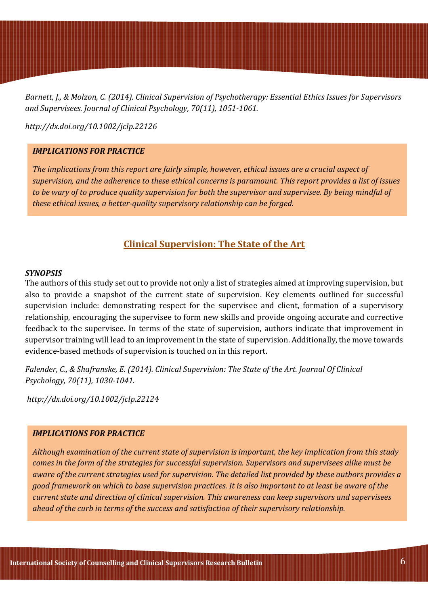Barnett, J., & Molzon, C. (2014). Clinical Supervision of Psychotherapy: Essential Ethics Issues for Supervisors and Supervisees. Journal of Clinical Psychology, 70(11), 1051-1061.

http://dx.doi.org/10.1002/jclp.22126

### IMPLICATIONS FOR PRACTICE

The implications from this report are fairly simple, however, ethical issues are a crucial aspect of supervision, and the adherence to these ethical concerns is paramount. This report provides a list of issues to be wary of to produce quality supervision for both the supervisor and supervisee. By being mindful of these ethical issues, a better-quality supervisory relationship can be forged.

## Clinical Supervision: The State of the Art

#### **SYNOPSIS**

The authors of this study set out to provide not only a list of strategies aimed at improving supervision, but also to provide a snapshot of the current state of supervision. Key elements outlined for successful supervision include: demonstrating respect for the supervisee and client, formation of a supervisory relationship, encouraging the supervisee to form new skills and provide ongoing accurate and corrective feedback to the supervisee. In terms of the state of supervision, authors indicate that improvement in supervisor training will lead to an improvement in the state of supervision. Additionally, the move towards evidence-based methods of supervision is touched on in this report.

Falender, C., & Shafranske, E. (2014). Clinical Supervision: The State of the Art. Journal Of Clinical Psychology, 70(11), 1030-1041.

http://dx.doi.org/10.1002/jclp.22124

### IMPLICATIONS FOR PRACTICE

Although examination of the current state of supervision is important, the key implication from this study comes in the form of the strategies for successful supervision. Supervisors and supervisees alike must be aware of the current strategies used for supervision. The detailed list provided by these authors provides a good framework on which to base supervision practices. It is also important to at least be aware of the current state and direction of clinical supervision. This awareness can keep supervisors and supervisees ahead of the curb in terms of the success and satisfaction of their supervisory relationship.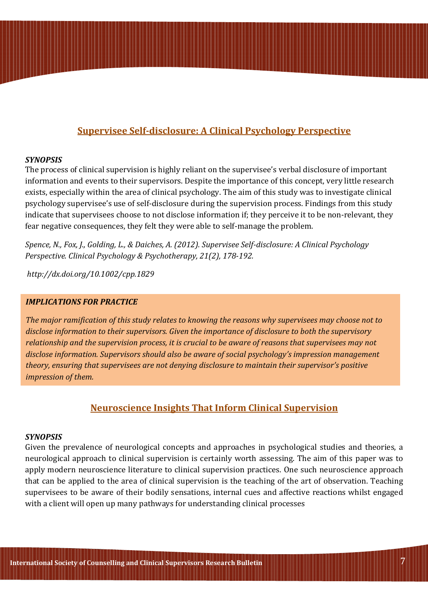# Supervisee Self-disclosure: A Clinical Psychology Perspective

### **SYNOPSIS**

The process of clinical supervision is highly reliant on the supervisee's verbal disclosure of important information and events to their supervisors. Despite the importance of this concept, very little research exists, especially within the area of clinical psychology. The aim of this study was to investigate clinical psychology supervisee's use of self-disclosure during the supervision process. Findings from this study indicate that supervisees choose to not disclose information if; they perceive it to be non-relevant, they fear negative consequences, they felt they were able to self-manage the problem.

Spence, N., Fox, J., Golding, L., & Daiches, A. (2012). Supervisee Self-disclosure: A Clinical Psychology Perspective. Clinical Psychology & Psychotherapy, 21(2), 178-192.

http://dx.doi.org/10.1002/cpp.1829

### IMPLICATIONS FOR PRACTICE

The major ramification of this study relates to knowing the reasons why supervisees may choose not to disclose information to their supervisors. Given the importance of disclosure to both the supervisory relationship and the supervision process, it is crucial to be aware of reasons that supervisees may not disclose information. Supervisors should also be aware of social psychology's impression management theory, ensuring that supervisees are not denying disclosure to maintain their supervisor's positive impression of them.

## Neuroscience Insights That Inform Clinical Supervision

#### **SYNOPSIS**

Given the prevalence of neurological concepts and approaches in psychological studies and theories, a neurological approach to clinical supervision is certainly worth assessing. The aim of this paper was to apply modern neuroscience literature to clinical supervision practices. One such neuroscience approach that can be applied to the area of clinical supervision is the teaching of the art of observation. Teaching supervisees to be aware of their bodily sensations, internal cues and affective reactions whilst engaged with a client will open up many pathways for understanding clinical processes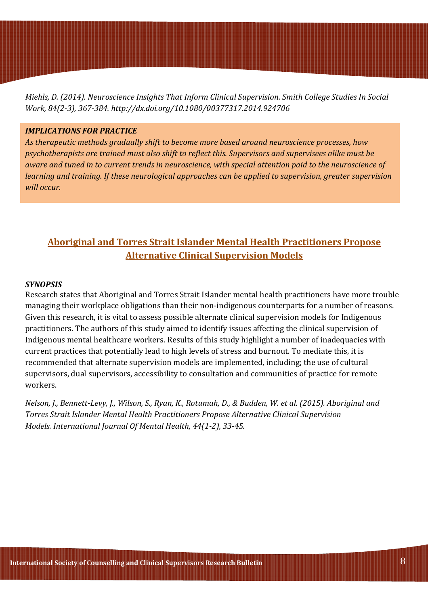Miehls, D. (2014). Neuroscience Insights That Inform Clinical Supervision. Smith College Studies In Social Work, 84(2-3), 367-384. http://dx.doi.org/10.1080/00377317.2014.924706

### IMPLICATIONS FOR PRACTICE

As therapeutic methods gradually shift to become more based around neuroscience processes, how psychotherapists are trained must also shift to reflect this. Supervisors and supervisees alike must be aware and tuned in to current trends in neuroscience, with special attention paid to the neuroscience of learning and training. If these neurological approaches can be applied to supervision, greater supervision will occur.

# Aboriginal and Torres Strait Islander Mental Health Practitioners Propose Alternative Clinical Supervision Models

#### **SYNOPSIS**

Research states that Aboriginal and Torres Strait Islander mental health practitioners have more trouble managing their workplace obligations than their non-indigenous counterparts for a number of reasons. Given this research, it is vital to assess possible alternate clinical supervision models for Indigenous practitioners. The authors of this study aimed to identify issues affecting the clinical supervision of Indigenous mental healthcare workers. Results of this study highlight a number of inadequacies with current practices that potentially lead to high levels of stress and burnout. To mediate this, it is recommended that alternate supervision models are implemented, including; the use of cultural supervisors, dual supervisors, accessibility to consultation and communities of practice for remote workers.

Nelson, J., Bennett-Levy, J., Wilson, S., Ryan, K., Rotumah, D., & Budden, W. et al. (2015). Aboriginal and Torres Strait Islander Mental Health Practitioners Propose Alternative Clinical Supervision Models. International Journal Of Mental Health, 44(1-2), 33-45.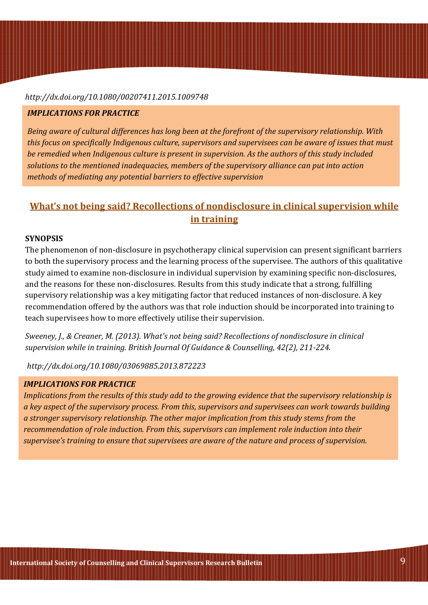#### http://dx.doi.org/10.1080/00207411.2015.1009748

#### IMPLICATIONS FOR PRACTICE

Being aware of cultural differences has long been at the forefront of the supervisory relationship. With this focus on specifically Indigenous culture, supervisors and supervisees can be aware of issues that must be remedied when Indigenous culture is present in supervision. As the authors of this study included solutions to the mentioned inadequacies, members of the supervisory alliance can put into action methods of mediating any potential barriers to effective supervision

# What's not being said? Recollections of nondisclosure in clinical supervision while in training

### SYNOPSIS

The phenomenon of non-disclosure in psychotherapy clinical supervision can present significant barriers to both the supervisory process and the learning process of the supervisee. The authors of this qualitative study aimed to examine non-disclosure in individual supervision by examining specific non-disclosures, and the reasons for these non-disclosures. Results from this study indicate that a strong, fulfilling supervisory relationship was a key mitigating factor that reduced instances of non-disclosure. A key recommendation offered by the authors was that role induction should be incorporated into training to teach supervisees how to more effectively utilise their supervision.

Sweeney, J., & Creaner, M. (2013). What's not being said? Recollections of nondisclosure in clinical supervision while in training. British Journal Of Guidance & Counselling, 42(2), 211-224.

http://dx.doi.org/10.1080/03069885.2013.872223

### IMPLICATIONS FOR PRACTICE

Implications from the results of this study add to the growing evidence that the supervisory relationship is a key aspect of the supervisory process. From this, supervisors and supervisees can work towards building a stronger supervisory relationship. The other major implication from this study stems from the recommendation of role induction. From this, supervisors can implement role induction into their supervisee's training to ensure that supervisees are aware of the nature and process of supervision.